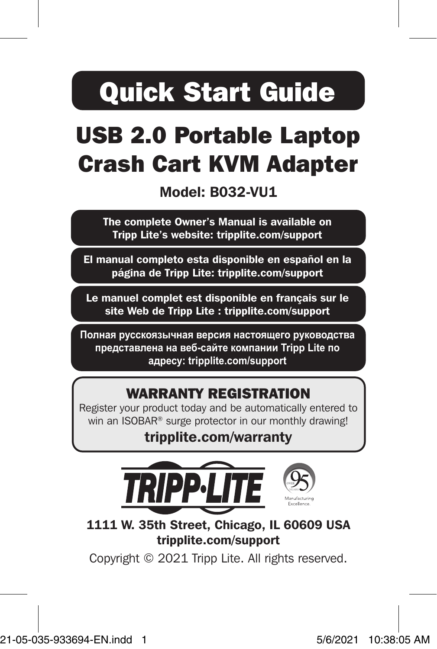# Quick Start Guide

# USB 2.0 Portable Laptop Crash Cart KVM Adapter

Model: B032-VU1

The complete Owner's Manual is available on Tripp Lite's website: tripplite.com/support

El manual completo esta disponible en español en la página de Tripp Lite: tripplite.com/support

Le manuel complet est disponible en français sur le site Web de Tripp Lite : tripplite.com/support

**Полная русскоязычная версия настоящего руководства представлена на веб-сайте компании Tripp Lite по адресу: tripplite.com/support**

### WARRANTY REGISTRATION

Register your product today and be automatically entered to win an ISOBAR® surge protector in our monthly drawing!

### tripplite.com/warranty



1111 W. 35th Street, Chicago, IL 60609 USA tripplite.com/support

Copyright © 2021 Tripp Lite. All rights reserved.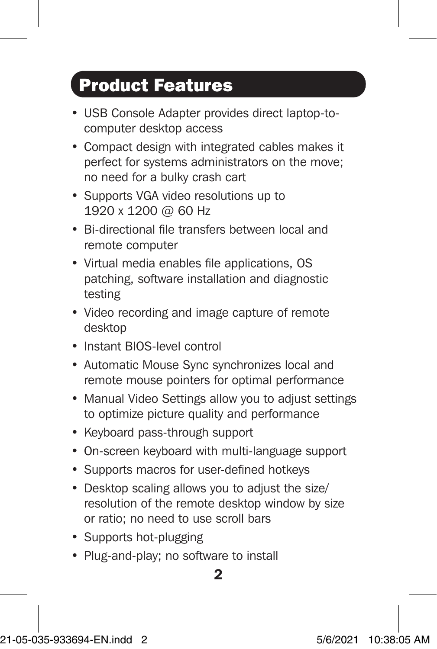### Product Features

- USB Console Adapter provides direct laptop-tocomputer desktop access
- Compact design with integrated cables makes it perfect for systems administrators on the move; no need for a bulky crash cart
- Supports VGA video resolutions up to 1920 x 1200 @ 60 Hz
- Bi-directional file transfers between local and remote computer
- Virtual media enables file applications, OS patching, software installation and diagnostic testing
- Video recording and image capture of remote desktop
- Instant BIOS-level control
- Automatic Mouse Sync synchronizes local and remote mouse pointers for optimal performance
- Manual Video Settings allow you to adjust settings to optimize picture quality and performance
- Keyboard pass-through support
- On-screen keyboard with multi-language support
- Supports macros for user-defined hotkeys
- Desktop scaling allows you to adjust the size/ resolution of the remote desktop window by size or ratio; no need to use scroll bars
- Supports hot-plugging
- Plug-and-play; no software to install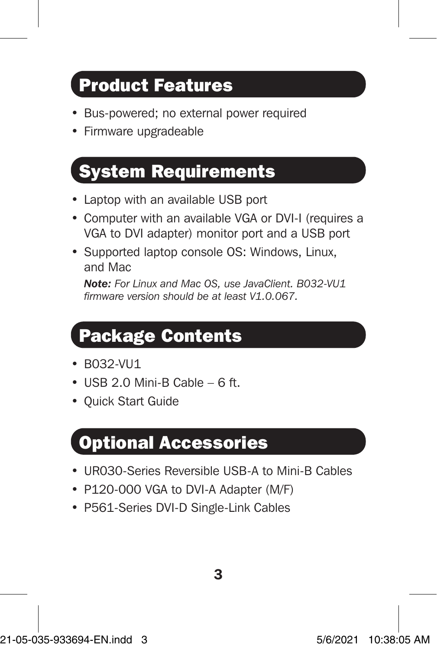### Product Features

- Bus-powered; no external power required
- Firmware upgradeable

## System Requirements

- Laptop with an available USB port
- Computer with an available VGA or DVI-I (requires a VGA to DVI adapter) monitor port and a USB port
- Supported laptop console OS: Windows, Linux, and Mac

*Note: For Linux and Mac OS, use JavaClient. B032-VU1 firmware version should be at least V1.0.067.*

### Package Contents

- B032-VU1
- $\bullet$  USB 2.0 Mini-B Cable 6 ft.
- Quick Start Guide

### Optional Accessories

- UR030-Series Reversible USB-A to Mini-B Cables
- P120-000 VGA to DVI-A Adapter (M/F)
- P561-Series DVI-D Single-Link Cables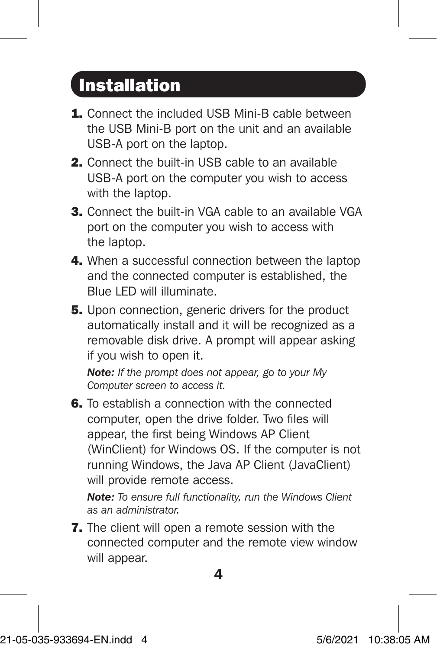### Installation

- 1. Connect the included USB Mini-B cable between the USB Mini-B port on the unit and an available USB-A port on the laptop.
- 2. Connect the built-in USB cable to an available USB-A port on the computer you wish to access with the laptop.
- 3. Connect the built-in VGA cable to an available VGA port on the computer you wish to access with the laptop.
- 4. When a successful connection between the laptop and the connected computer is established, the Blue LED will illuminate.
- **5.** Upon connection, generic drivers for the product automatically install and it will be recognized as a removable disk drive. A prompt will appear asking if you wish to open it.

*Note: If the prompt does not appear, go to your My Computer screen to access it.*

6. To establish a connection with the connected computer, open the drive folder. Two files will appear, the first being Windows AP Client (WinClient) for Windows OS. If the computer is not running Windows, the Java AP Client (JavaClient) will provide remote access.

*Note: To ensure full functionality, run the Windows Client as an administrator.*

7. The client will open a remote session with the connected computer and the remote view window will appear.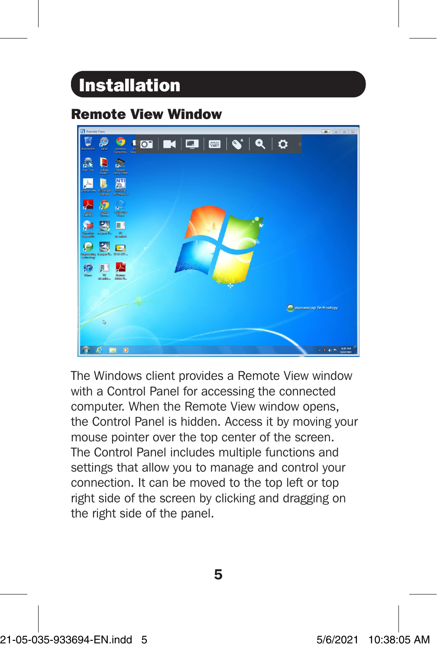### Installation

### Remote View Window



The Windows client provides a Remote View window with a Control Panel for accessing the connected computer. When the Remote View window opens, the Control Panel is hidden. Access it by moving your mouse pointer over the top center of the screen. The Control Panel includes multiple functions and settings that allow you to manage and control your connection. It can be moved to the top left or top right side of the screen by clicking and dragging on the right side of the panel.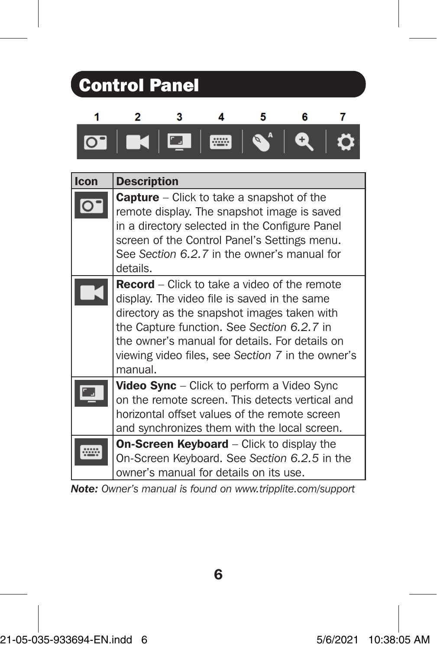| <b>Control Panel</b> |                                                                                                                                                                                                                                                                                                                    |  |  |  |
|----------------------|--------------------------------------------------------------------------------------------------------------------------------------------------------------------------------------------------------------------------------------------------------------------------------------------------------------------|--|--|--|
|                      | 2<br>5<br>6                                                                                                                                                                                                                                                                                                        |  |  |  |
|                      | $\overline{\textbf{O}}$ $\textbf{K}$ $\overline{\textbf{Q}}$ $\overline{\textbf{m}}$<br>$\mathbf{Q}^A$                                                                                                                                                                                                             |  |  |  |
| Icon                 | <b>Description</b>                                                                                                                                                                                                                                                                                                 |  |  |  |
|                      | <b>Capture</b> – Click to take a snapshot of the<br>remote display. The snapshot image is saved<br>in a directory selected in the Configure Panel<br>screen of the Control Panel's Settings menu.<br>See Section 6.2.7 in the owner's manual for<br>details.                                                       |  |  |  |
|                      | <b>Record</b> – Click to take a video of the remote<br>display. The video file is saved in the same<br>directory as the snapshot images taken with<br>the Capture function. See Section 6.2.7 in<br>the owner's manual for details. For details on<br>viewing video files, see Section 7 in the owner's<br>manual. |  |  |  |
|                      | Video Sync - Click to perform a Video Sync<br>on the remote screen. This detects vertical and<br>horizontal offset values of the remote screen<br>and synchronizes them with the local screen.                                                                                                                     |  |  |  |
|                      | On-Screen Keyboard - Click to display the<br>On-Screen Keyboard. See Section 6.2.5 in the<br>owner's manual for details on its use.                                                                                                                                                                                |  |  |  |

*Note: Owner's manual is found on www.tripplite.com/support*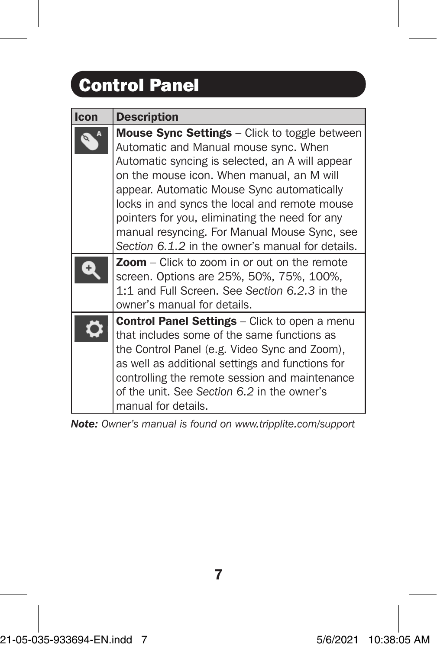# Control Panel

| Icon | <b>Description</b>                                                                                                                                                                                                                                                                                                                                                                                                                                 |
|------|----------------------------------------------------------------------------------------------------------------------------------------------------------------------------------------------------------------------------------------------------------------------------------------------------------------------------------------------------------------------------------------------------------------------------------------------------|
|      | <b>Mouse Sync Settings</b> – Click to toggle between<br>Automatic and Manual mouse sync. When<br>Automatic syncing is selected, an A will appear<br>on the mouse icon. When manual, an M will<br>appear. Automatic Mouse Sync automatically<br>locks in and syncs the local and remote mouse<br>pointers for you, eliminating the need for any<br>manual resyncing. For Manual Mouse Sync, see<br>Section 6.1.2 in the owner's manual for details. |
|      | Zoom - Click to zoom in or out on the remote<br>screen. Options are 25%, 50%, 75%, 100%,<br>1:1 and Full Screen. See Section 6.2.3 in the<br>owner's manual for details.                                                                                                                                                                                                                                                                           |
|      | <b>Control Panel Settings</b> – Click to open a menu<br>that includes some of the same functions as<br>the Control Panel (e.g. Video Sync and Zoom),<br>as well as additional settings and functions for<br>controlling the remote session and maintenance<br>of the unit. See Section 6.2 in the owner's<br>manual for details.                                                                                                                   |

*Note: Owner's manual is found on www.tripplite.com/support*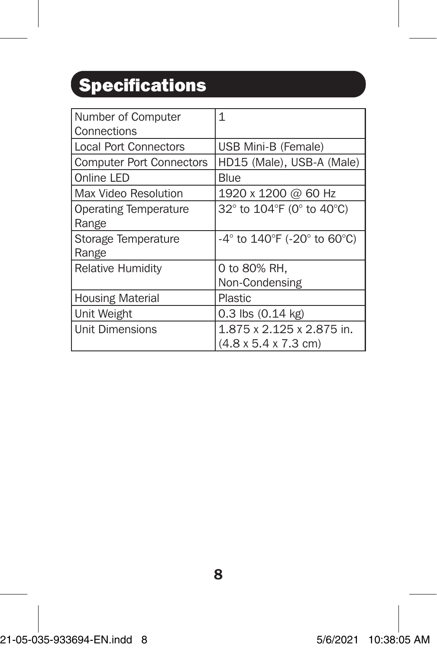# **Specifications**

| Number of Computer              | $\mathbf{1}$                     |
|---------------------------------|----------------------------------|
| Connections                     |                                  |
| <b>Local Port Connectors</b>    | USB Mini-B (Female)              |
| <b>Computer Port Connectors</b> | HD15 (Male), USB-A (Male)        |
| Online LED                      | Blue                             |
| Max Video Resolution            | 1920 x 1200 @ 60 Hz              |
| <b>Operating Temperature</b>    | 32° to 104°F (0° to 40°C)        |
| Range                           |                                  |
| Storage Temperature             | -4° to 140°F (-20° to 60°C)      |
| Range                           |                                  |
| <b>Relative Humidity</b>        | 0 to 80% RH,                     |
|                                 | Non-Condensing                   |
| <b>Housing Material</b>         | Plastic                          |
| Unit Weight                     | $0.3$ lbs $(0.14$ kg)            |
| <b>Unit Dimensions</b>          | 1.875 x 2.125 x 2.875 in.        |
|                                 | $(4.8 \times 5.4 \times 7.3$ cm) |

21-05-035-933694-EN.indd 8 5/6/2021 10:38:05 AM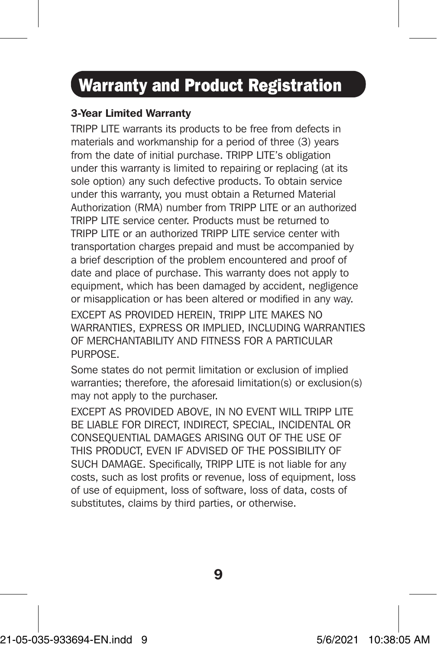### Warranty and Product Registration

#### 3-Year Limited Warranty

TRIPP LITE warrants its products to be free from defects in materials and workmanship for a period of three (3) years from the date of initial purchase. TRIPP LITE's obligation under this warranty is limited to repairing or replacing (at its sole option) any such defective products. To obtain service under this warranty, you must obtain a Returned Material Authorization (RMA) number from TRIPP LITE or an authorized TRIPP LITE service center. Products must be returned to TRIPP LITE or an authorized TRIPP LITE service center with transportation charges prepaid and must be accompanied by a brief description of the problem encountered and proof of date and place of purchase. This warranty does not apply to equipment, which has been damaged by accident, negligence or misapplication or has been altered or modified in any way.

EXCEPT AS PROVIDED HEREIN, TRIPP LITE MAKES NO WARRANTIES, EXPRESS OR IMPLIED, INCLUDING WARRANTIES OF MERCHANTABILITY AND FITNESS FOR A PARTICULAR PURPOSE.

Some states do not permit limitation or exclusion of implied warranties; therefore, the aforesaid limitation(s) or exclusion(s) may not apply to the purchaser.

EXCEPT AS PROVIDED ABOVE, IN NO EVENT WILL TRIPP LITE BE LIABLE FOR DIRECT, INDIRECT, SPECIAL, INCIDENTAL OR CONSEQUENTIAL DAMAGES ARISING OUT OF THE USE OF THIS PRODUCT, EVEN IF ADVISED OF THE POSSIBILITY OF SUCH DAMAGE. Specifically, TRIPP LITE is not liable for any costs, such as lost profits or revenue, loss of equipment, loss of use of equipment, loss of software, loss of data, costs of substitutes, claims by third parties, or otherwise.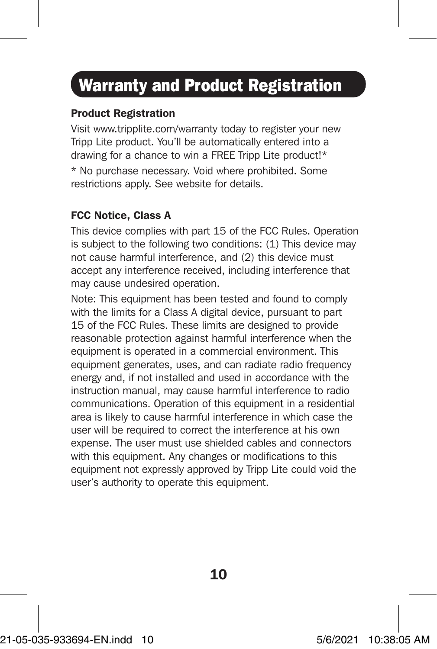### Warranty and Product Registration

### Product Registration

Visit www.tripplite.com/warranty today to register your new Tripp Lite product. You'll be automatically entered into a drawing for a chance to win a FREE Tripp Lite product!\* \* No purchase necessary. Void where prohibited. Some restrictions apply. See website for details.

#### FCC Notice, Class A

This device complies with part 15 of the FCC Rules. Operation is subject to the following two conditions: (1) This device may not cause harmful interference, and (2) this device must accept any interference received, including interference that may cause undesired operation.

Note: This equipment has been tested and found to comply with the limits for a Class A digital device, pursuant to part 15 of the FCC Rules. These limits are designed to provide reasonable protection against harmful interference when the equipment is operated in a commercial environment. This equipment generates, uses, and can radiate radio frequency energy and, if not installed and used in accordance with the instruction manual, may cause harmful interference to radio communications. Operation of this equipment in a residential area is likely to cause harmful interference in which case the user will be required to correct the interference at his own expense. The user must use shielded cables and connectors with this equipment. Any changes or modifications to this equipment not expressly approved by Tripp Lite could void the user's authority to operate this equipment.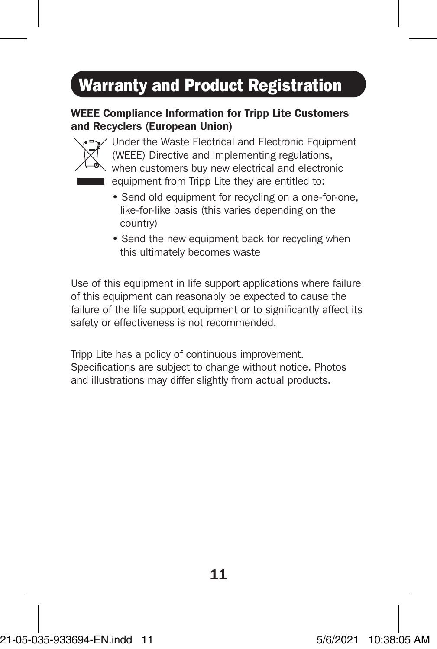## Warranty and Product Registration

#### WEEE Compliance Information for Tripp Lite Customers and Recyclers (European Union)



Under the Waste Electrical and Electronic Equipment (WEEE) Directive and implementing regulations, when customers buy new electrical and electronic

- equipment from Tripp Lite they are entitled to:
- Send old equipment for recycling on a one-for-one, like-for-like basis (this varies depending on the country)
- Send the new equipment back for recycling when this ultimately becomes waste

Use of this equipment in life support applications where failure of this equipment can reasonably be expected to cause the failure of the life support equipment or to significantly affect its safety or effectiveness is not recommended.

Tripp Lite has a policy of continuous improvement. Specifications are subject to change without notice. Photos and illustrations may differ slightly from actual products.